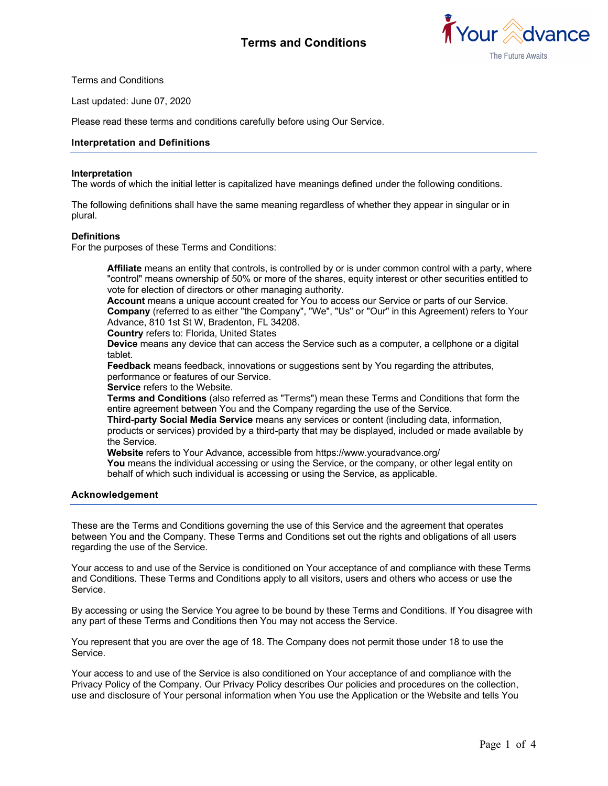

Terms and Conditions

Last updated: June 07, 2020

Please read these terms and conditions carefully before using Our Service.

## **Interpretation and Definitions**

#### **Interpretation**

The words of which the initial letter is capitalized have meanings defined under the following conditions.

The following definitions shall have the same meaning regardless of whether they appear in singular or in plural.

#### **Definitions**

For the purposes of these Terms and Conditions:

**Affiliate** means an entity that controls, is controlled by or is under common control with a party, where "control" means ownership of 50% or more of the shares, equity interest or other securities entitled to vote for election of directors or other managing authority.

Account means a unique account created for You to access our Service or parts of our Service. **Company** (referred to as either "the Company", "We", "Us" or "Our" in this Agreement) refers to Your Advance, 810 1st St W, Bradenton, FL 34208.

**Country** refers to: Florida, United States

**Device** means any device that can access the Service such as a computer, a cellphone or a digital tablet.

**Feedback** means feedback, innovations or suggestions sent by You regarding the attributes, performance or features of our Service.

**Service** refers to the Website.

**Terms and Conditions** (also referred as "Terms") mean these Terms and Conditions that form the entire agreement between You and the Company regarding the use of the Service.

**Third-party Social Media Service** means any services or content (including data, information, products or services) provided by a third-party that may be displayed, included or made available by the Service.

**Website** refers to Your Advance, accessible from https://www.youradvance.org/

**You** means the individual accessing or using the Service, or the company, or other legal entity on behalf of which such individual is accessing or using the Service, as applicable.

#### **Acknowledgement**

These are the Terms and Conditions governing the use of this Service and the agreement that operates between You and the Company. These Terms and Conditions set out the rights and obligations of all users regarding the use of the Service.

Your access to and use of the Service is conditioned on Your acceptance of and compliance with these Terms and Conditions. These Terms and Conditions apply to all visitors, users and others who access or use the Service.

By accessing or using the Service You agree to be bound by these Terms and Conditions. If You disagree with any part of these Terms and Conditions then You may not access the Service.

You represent that you are over the age of 18. The Company does not permit those under 18 to use the Service.

Your access to and use of the Service is also conditioned on Your acceptance of and compliance with the Privacy Policy of the Company. Our Privacy Policy describes Our policies and procedures on the collection, use and disclosure of Your personal information when You use the Application or the Website and tells You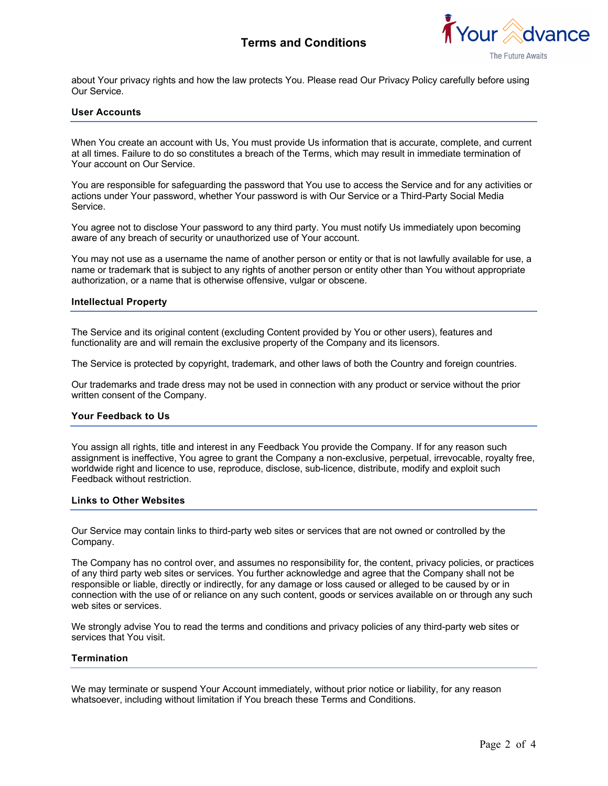# **Terms and Conditions**



about Your privacy rights and how the law protects You. Please read Our Privacy Policy carefully before using Our Service.

## **User Accounts**

When You create an account with Us, You must provide Us information that is accurate, complete, and current at all times. Failure to do so constitutes a breach of the Terms, which may result in immediate termination of Your account on Our Service.

You are responsible for safeguarding the password that You use to access the Service and for any activities or actions under Your password, whether Your password is with Our Service or a Third-Party Social Media Service.

You agree not to disclose Your password to any third party. You must notify Us immediately upon becoming aware of any breach of security or unauthorized use of Your account.

You may not use as a username the name of another person or entity or that is not lawfully available for use, a name or trademark that is subject to any rights of another person or entity other than You without appropriate authorization, or a name that is otherwise offensive, vulgar or obscene.

#### **Intellectual Property**

The Service and its original content (excluding Content provided by You or other users), features and functionality are and will remain the exclusive property of the Company and its licensors.

The Service is protected by copyright, trademark, and other laws of both the Country and foreign countries.

Our trademarks and trade dress may not be used in connection with any product or service without the prior written consent of the Company.

#### **Your Feedback to Us**

You assign all rights, title and interest in any Feedback You provide the Company. If for any reason such assignment is ineffective, You agree to grant the Company a non-exclusive, perpetual, irrevocable, royalty free, worldwide right and licence to use, reproduce, disclose, sub-licence, distribute, modify and exploit such Feedback without restriction.

#### **Links to Other Websites**

Our Service may contain links to third-party web sites or services that are not owned or controlled by the Company.

The Company has no control over, and assumes no responsibility for, the content, privacy policies, or practices of any third party web sites or services. You further acknowledge and agree that the Company shall not be responsible or liable, directly or indirectly, for any damage or loss caused or alleged to be caused by or in connection with the use of or reliance on any such content, goods or services available on or through any such web sites or services.

We strongly advise You to read the terms and conditions and privacy policies of any third-party web sites or services that You visit.

#### **Termination**

We may terminate or suspend Your Account immediately, without prior notice or liability, for any reason whatsoever, including without limitation if You breach these Terms and Conditions.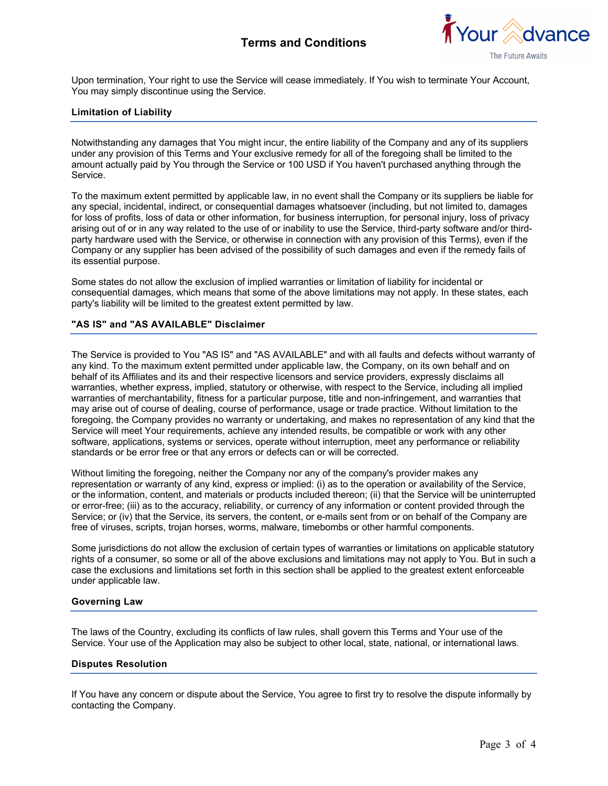# **Terms and Conditions**



Upon termination, Your right to use the Service will cease immediately. If You wish to terminate Your Account, You may simply discontinue using the Service.

## **Limitation of Liability**

Notwithstanding any damages that You might incur, the entire liability of the Company and any of its suppliers under any provision of this Terms and Your exclusive remedy for all of the foregoing shall be limited to the amount actually paid by You through the Service or 100 USD if You haven't purchased anything through the Service.

To the maximum extent permitted by applicable law, in no event shall the Company or its suppliers be liable for any special, incidental, indirect, or consequential damages whatsoever (including, but not limited to, damages for loss of profits, loss of data or other information, for business interruption, for personal injury, loss of privacy arising out of or in any way related to the use of or inability to use the Service, third-party software and/or thirdparty hardware used with the Service, or otherwise in connection with any provision of this Terms), even if the Company or any supplier has been advised of the possibility of such damages and even if the remedy fails of its essential purpose.

Some states do not allow the exclusion of implied warranties or limitation of liability for incidental or consequential damages, which means that some of the above limitations may not apply. In these states, each party's liability will be limited to the greatest extent permitted by law.

## **"AS IS" and "AS AVAILABLE" Disclaimer**

The Service is provided to You "AS IS" and "AS AVAILABLE" and with all faults and defects without warranty of any kind. To the maximum extent permitted under applicable law, the Company, on its own behalf and on behalf of its Affiliates and its and their respective licensors and service providers, expressly disclaims all warranties, whether express, implied, statutory or otherwise, with respect to the Service, including all implied warranties of merchantability, fitness for a particular purpose, title and non-infringement, and warranties that may arise out of course of dealing, course of performance, usage or trade practice. Without limitation to the foregoing, the Company provides no warranty or undertaking, and makes no representation of any kind that the Service will meet Your requirements, achieve any intended results, be compatible or work with any other software, applications, systems or services, operate without interruption, meet any performance or reliability standards or be error free or that any errors or defects can or will be corrected.

Without limiting the foregoing, neither the Company nor any of the company's provider makes any representation or warranty of any kind, express or implied: (i) as to the operation or availability of the Service, or the information, content, and materials or products included thereon; (ii) that the Service will be uninterrupted or error-free; (iii) as to the accuracy, reliability, or currency of any information or content provided through the Service; or (iv) that the Service, its servers, the content, or e-mails sent from or on behalf of the Company are free of viruses, scripts, trojan horses, worms, malware, timebombs or other harmful components.

Some jurisdictions do not allow the exclusion of certain types of warranties or limitations on applicable statutory rights of a consumer, so some or all of the above exclusions and limitations may not apply to You. But in such a case the exclusions and limitations set forth in this section shall be applied to the greatest extent enforceable under applicable law.

#### **Governing Law**

The laws of the Country, excluding its conflicts of law rules, shall govern this Terms and Your use of the Service. Your use of the Application may also be subject to other local, state, national, or international laws.

#### **Disputes Resolution**

If You have any concern or dispute about the Service, You agree to first try to resolve the dispute informally by contacting the Company.